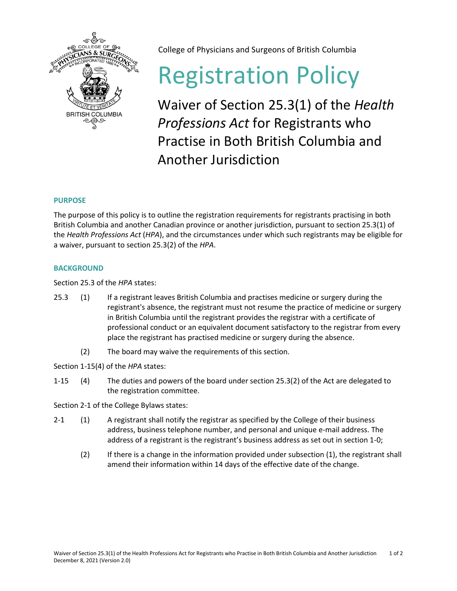

College of Physicians and Surgeons of British Columbia

# Registration Policy

Waiver of Section 25.3(1) of the *Health Professions Act* for Registrants who Practise in Both British Columbia and Another Jurisdiction

## **PURPOSE**

The purpose of this policy is to outline the registration requirements for registrants practising in both British Columbia and another Canadian province or another jurisdiction, pursuant to section 25.3(1) of the *Health Professions Act* (*HPA*), and the circumstances under which such registrants may be eligible for a waiver, pursuant to section 25.3(2) of the *HPA*.

### **BACKGROUND**

Section 25.3 of the *HPA* states:

- 25.3 (1) If a registrant leaves British Columbia and practises medicine or surgery during the registrant's absence, the registrant must not resume the practice of medicine or surgery in British Columbia until the registrant provides the registrar with a certificate of professional conduct or an equivalent document satisfactory to the registrar from every place the registrant has practised medicine or surgery during the absence.
	- (2) The board may waive the requirements of this section.

Section 1-15(4) of the *HPA* states:

1-15 (4) The duties and powers of the board under section 25.3(2) of the Act are delegated to the registration committee.

Section 2-1 of the College Bylaws states:

- 2-1 (1) A registrant shall notify the registrar as specified by the College of their business address, business telephone number, and personal and unique e-mail address. The address of a registrant is the registrant's business address as set out in section 1-0;
	- (2) If there is a change in the information provided under subsection (1), the registrant shall amend their information within 14 days of the effective date of the change.